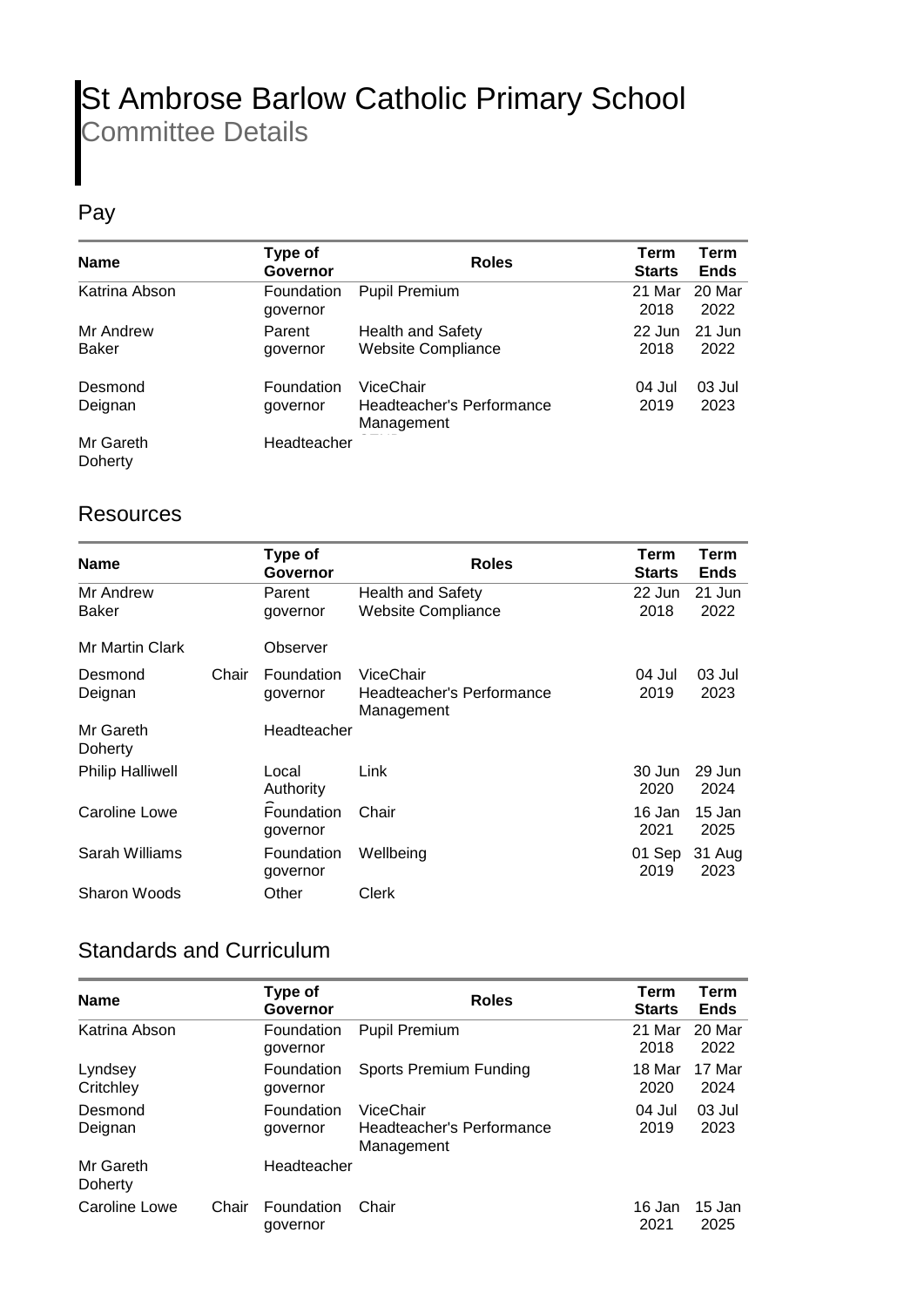## St Ambrose Barlow Catholic Primary School Committee Details

## Pay

| <b>Name</b>               | Type of<br>Governor           | <b>Roles</b>                                          | Term<br><b>Starts</b> | Term<br><b>Ends</b> |
|---------------------------|-------------------------------|-------------------------------------------------------|-----------------------|---------------------|
| Katrina Abson             | <b>Foundation</b><br>governor | <b>Pupil Premium</b>                                  | 21 Mar<br>2018        | 20 Mar<br>2022      |
| Mr Andrew<br><b>Baker</b> | Parent<br>governor            | <b>Health and Safety</b><br><b>Website Compliance</b> | 22 Jun<br>2018        | 21 Jun<br>2022      |
| Desmond<br>Deignan        | Foundation<br>governor        | ViceChair<br>Headteacher's Performance<br>Management  | 04 Jul<br>2019        | 03 Jul<br>2023      |
| Mr Gareth<br>Doherty      | Headteacher                   |                                                       |                       |                     |

## **Resources**

| <b>Name</b>             |       | Type of<br>Governor    | <b>Roles</b>                            | Term<br><b>Starts</b> | Term<br><b>Ends</b> |
|-------------------------|-------|------------------------|-----------------------------------------|-----------------------|---------------------|
| Mr Andrew               |       | Parent                 | Health and Safety                       | 22 Jun                | 21 Jun              |
| Baker                   |       | governor               | <b>Website Compliance</b>               | 2018                  | 2022                |
| <b>Mr Martin Clark</b>  |       | Observer               |                                         |                       |                     |
| Desmond                 | Chair | Foundation             | ViceChair                               | 04 Jul                | 03 Jul              |
| Deignan                 |       | governor               | Headteacher's Performance<br>Management | 2019                  | 2023                |
| Mr Gareth<br>Doherty    |       | Headteacher            |                                         |                       |                     |
| <b>Philip Halliwell</b> |       | Local                  | Link                                    | 30 Jun                | 29 Jun              |
|                         |       | Authority              |                                         | 2020                  | 2024                |
| Caroline Lowe           |       | Foundation<br>governor | Chair                                   | 16 Jan<br>2021        | 15 Jan<br>2025      |
| Sarah Williams          |       | Foundation<br>governor | Wellbeing                               | 01 Sep<br>2019        | 31 Aug<br>2023      |
| Sharon Woods            |       | Other                  | Clerk                                   |                       |                     |

## Standards and Curriculum

| <b>Name</b>          |       | Type of<br>Governor    | <b>Roles</b>                                         | <b>Term</b><br><b>Starts</b> | <b>Term</b><br><b>Ends</b> |
|----------------------|-------|------------------------|------------------------------------------------------|------------------------------|----------------------------|
| Katrina Abson        |       | Foundation<br>governor | <b>Pupil Premium</b>                                 | 21 Mar<br>2018               | 20 Mar<br>2022             |
| Lyndsey<br>Critchley |       | Foundation<br>governor | Sports Premium Funding                               | 18 Mar<br>2020               | 17 Mar<br>2024             |
| Desmond<br>Deignan   |       | Foundation<br>governor | ViceChair<br>Headteacher's Performance<br>Management | 04 Jul<br>2019               | 03 Jul<br>2023             |
| Mr Gareth<br>Doherty |       | Headteacher            |                                                      |                              |                            |
| Caroline Lowe        | Chair | Foundation<br>governor | Chair                                                | 16 Jan<br>2021               | 15 Jan<br>2025             |